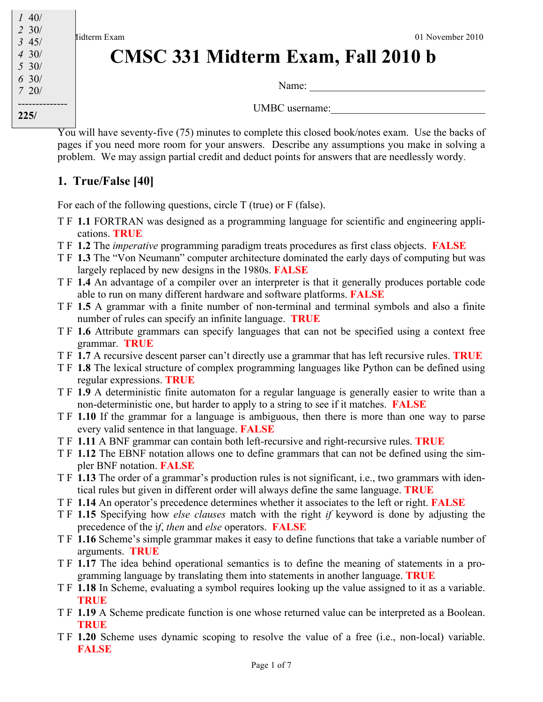

# **CMSC 331 Midterm Exam, Fall 2010 b**

Name: \_\_\_\_\_\_\_\_\_\_\_\_\_\_\_\_\_\_\_\_\_\_\_\_\_\_\_\_\_\_\_\_\_

UMBC username:

You will have seventy-five (75) minutes to complete this closed book/notes exam. Use the backs of pages if you need more room for your answers. Describe any assumptions you make in solving a problem. We may assign partial credit and deduct points for answers that are needlessly wordy.

#### **1. True/False [40]**

For each of the following questions, circle T (true) or F (false).

- T F **1.1** FORTRAN was designed as a programming language for scientific and engineering applications. **TRUE**
- T F **1.2** The *imperative* programming paradigm treats procedures as first class objects. **FALSE**
- T F **1.3** The "Von Neumann" computer architecture dominated the early days of computing but was largely replaced by new designs in the 1980s. **FALSE**
- T F **1.4** An advantage of a compiler over an interpreter is that it generally produces portable code able to run on many different hardware and software platforms. **FALSE**
- T F **1.5** A grammar with a finite number of non-terminal and terminal symbols and also a finite number of rules can specify an infinite language. **TRUE**
- T F **1.6** Attribute grammars can specify languages that can not be specified using a context free grammar. **TRUE**
- T F **1.7** A recursive descent parser can't directly use a grammar that has left recursive rules. **TRUE**
- T F **1.8** The lexical structure of complex programming languages like Python can be defined using regular expressions. **TRUE**
- T F **1.9** A deterministic finite automaton for a regular language is generally easier to write than a non-deterministic one, but harder to apply to a string to see if it matches. **FALSE**
- T F **1.10** If the grammar for a language is ambiguous, then there is more than one way to parse every valid sentence in that language. **FALSE**
- T F **1.11** A BNF grammar can contain both left-recursive and right-recursive rules. **TRUE**
- T F **1.12** The EBNF notation allows one to define grammars that can not be defined using the simpler BNF notation. **FALSE**
- T F **1.13** The order of a grammar's production rules is not significant, i.e., two grammars with identical rules but given in different order will always define the same language. **TRUE**
- T F **1.14** An operator's precedence determines whether it associates to the left or right. **FALSE**
- T F **1.15** Specifying how *else clauses* match with the right *if* keyword is done by adjusting the precedence of the i*f*, *then* and *else* operators. **FALSE**
- T F **1.16** Scheme's simple grammar makes it easy to define functions that take a variable number of arguments. **TRUE**
- T F **1.17** The idea behind operational semantics is to define the meaning of statements in a programming language by translating them into statements in another language. **TRUE**
- T F **1.18** In Scheme, evaluating a symbol requires looking up the value assigned to it as a variable. **TRUE**
- T F **1.19** A Scheme predicate function is one whose returned value can be interpreted as a Boolean. **TRUE**
- T F **1.20** Scheme uses dynamic scoping to resolve the value of a free (i.e., non-local) variable. **FALSE**

*2* 30/ *3* 45/ *4* 30/ *5* 30/ *6* 30/ *7* 20/ --------------

**225/**

*1* 40/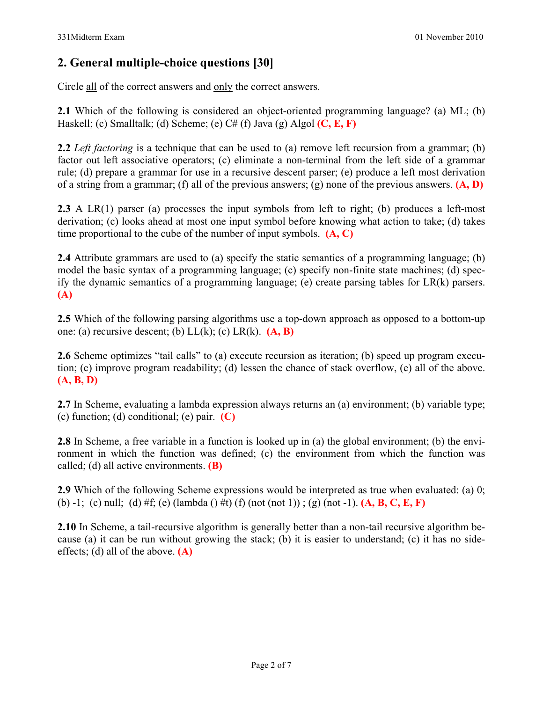#### **2. General multiple-choice questions [30]**

Circle all of the correct answers and only the correct answers.

**2.1** Which of the following is considered an object-oriented programming language? (a) ML; (b) Haskell; (c) Smalltalk; (d) Scheme; (e) C# (f) Java (g) Algol **(C, E, F)**

**2.2** *Left factoring* is a technique that can be used to (a) remove left recursion from a grammar; (b) factor out left associative operators; (c) eliminate a non-terminal from the left side of a grammar rule; (d) prepare a grammar for use in a recursive descent parser; (e) produce a left most derivation of a string from a grammar; (f) all of the previous answers; (g) none of the previous answers. **(A, D)**

**2.3** A LR(1) parser (a) processes the input symbols from left to right; (b) produces a left-most derivation; (c) looks ahead at most one input symbol before knowing what action to take; (d) takes time proportional to the cube of the number of input symbols. **(A, C)**

**2.4** Attribute grammars are used to (a) specify the static semantics of a programming language; (b) model the basic syntax of a programming language; (c) specify non-finite state machines; (d) specify the dynamic semantics of a programming language; (e) create parsing tables for LR(k) parsers. **(A)**

**2.5** Which of the following parsing algorithms use a top-down approach as opposed to a bottom-up one: (a) recursive descent; (b) LL(k); (c) LR(k). **(A, B)**

**2.6** Scheme optimizes "tail calls" to (a) execute recursion as iteration; (b) speed up program execution; (c) improve program readability; (d) lessen the chance of stack overflow, (e) all of the above. **(A, B, D)**

**2.7** In Scheme, evaluating a lambda expression always returns an (a) environment; (b) variable type; (c) function; (d) conditional; (e) pair. **(C)**

**2.8** In Scheme, a free variable in a function is looked up in (a) the global environment; (b) the environment in which the function was defined; (c) the environment from which the function was called; (d) all active environments. **(B)**

**2.9** Which of the following Scheme expressions would be interpreted as true when evaluated: (a) 0; (b) -1; (c) null; (d) #f; (e) (lambda () #t) (f) (not (not 1)) ; (g) (not -1). **(A, B, C, E, F)**

**2.10** In Scheme, a tail-recursive algorithm is generally better than a non-tail recursive algorithm because (a) it can be run without growing the stack; (b) it is easier to understand; (c) it has no sideeffects; (d) all of the above. **(A)**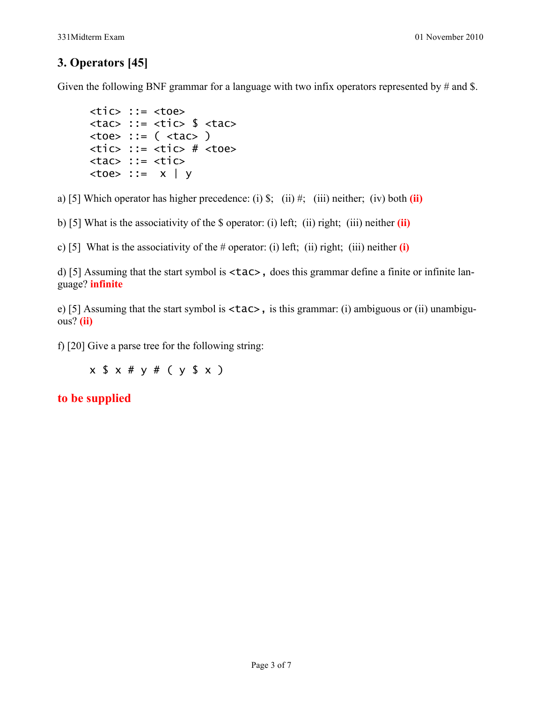#### **3. Operators [45]**

Given the following BNF grammar for a language with two infix operators represented by  $\#$  and \$.

```
<tic> ::= <toe>\langle \text{tac} \rangle ::= \langle \text{tic} \rangle $ \langle \text{tac} \rangleltoe::= (ltac)
\timestic> ::= \timestic> # \timestoe>
<tac> ::= <tic>
ltoe ::= x | y
```
a) [5] Which operator has higher precedence: (i) \$; (ii) #; (iii) neither; (iv) both **(ii)**

b) [5] What is the associativity of the \$ operator: (i) left; (ii) right; (iii) neither **(ii)**

c) [5] What is the associativity of the # operator: (i) left; (ii) right; (iii) neither **(i)**

d) [5] Assuming that the start symbol is <tac>, does this grammar define a finite or infinite language? **infinite**

e) [5] Assuming that the start symbol is <tac>, is this grammar: (i) ambiguous or (ii) unambiguous? **(ii)**

f) [20] Give a parse tree for the following string:

x \$ x # y # ( y \$ x )

**to be supplied**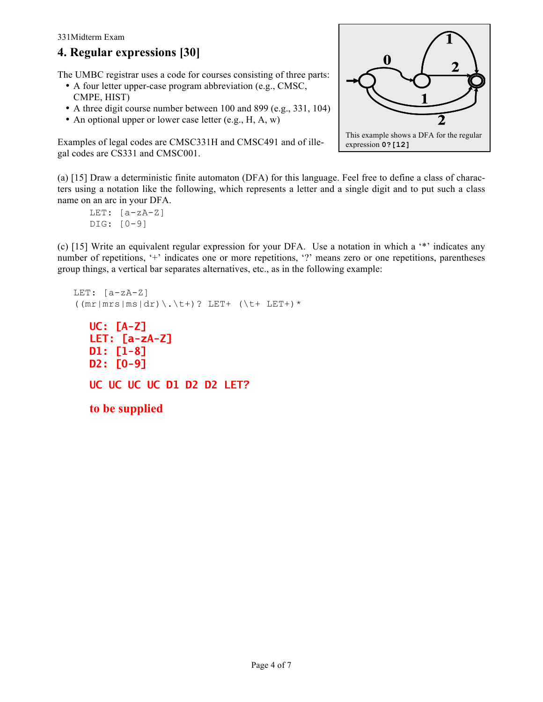#### 331Midterm Exam

### **4. Regular expressions [30]**

The UMBC registrar uses a code for courses consisting of three parts:

- A four letter upper-case program abbreviation (e.g., CMSC, CMPE, HIST)
- A three digit course number between 100 and 899 (e.g., 331, 104)
- An optional upper or lower case letter (e.g., H, A, w)

Examples of legal codes are CMSC331H and CMSC491 and of illegal codes are CS331 and CMSC001.



(a) [15] Draw a deterministic finite automaton (DFA) for this language. Feel free to define a class of characters using a notation like the following, which represents a letter and a single digit and to put such a class name on an arc in your DFA.

```
LET: [a-zA-Z]DIG: [0-9]
```
(c) [15] Write an equivalent regular expression for your DFA. Use a notation in which a '\*' indicates any number of repetitions, '+' indicates one or more repetitions, '?' means zero or one repetitions, parentheses group things, a vertical bar separates alternatives, etc., as in the following example:

```
LET: [a-zA-Z]
((mr|mrs|ms|dr)\.\t+)? LET+ (\t+ LET+)*
  UC: [A-Z]
  LET: [a-zA-Z]
  D1: [1-8]
  D2: [0-9]
  UC UC UC UC D1 D2 D2 LET?
  to be supplied
```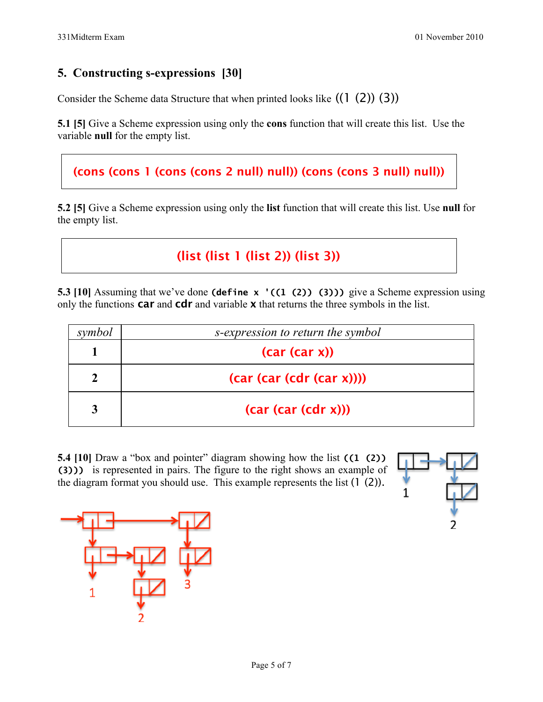#### **5. Constructing s-expressions [30]**

Consider the Scheme data Structure that when printed looks like  $((1 \t(2)) (3))$ 

**5.1 [5]** Give a Scheme expression using only the **cons** function that will create this list. Use the variable **null** for the empty list.

#### (cons (cons 1 (cons (cons 2 null) null)) (cons (cons 3 null) null))

**5.2 [5]** Give a Scheme expression using only the **list** function that will create this list. Use **null** for the empty list.

## (list (list 1 (list 2)) (list 3))

**5.3 [10]** Assuming that we've done **(define x** '((1 (2)) (3))) give a Scheme expression using only the functions  $car$  and  $cdr$  and variable  $x$  that returns the three symbols in the list.

| symbol | s-expression to return the symbol |
|--------|-----------------------------------|
|        | (car (car x))                     |
|        | (car (car (cdr (car x))))         |
|        | (car (car (cdr x)))               |

**5.4 [10]** Draw a "box and pointer" diagram showing how the list **((1 (2)) (3)))** is represented in pairs. The figure to the right shows an example of the diagram format you should use. This example represents the list  $(1 \n(2))$ .



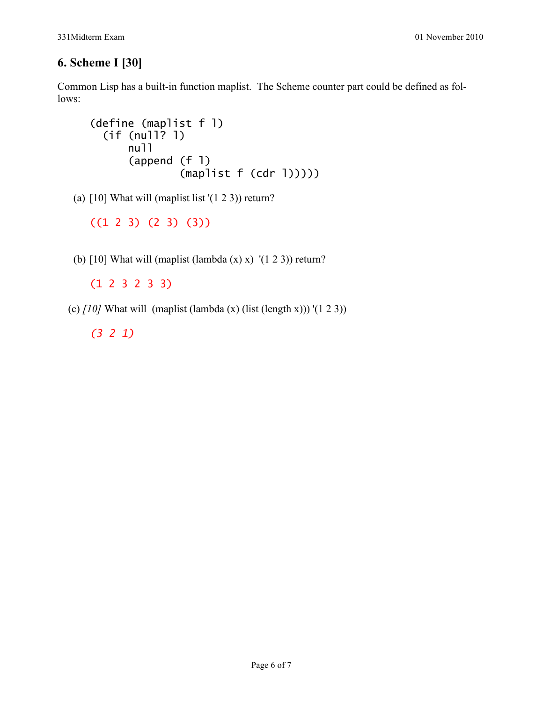#### **6. Scheme I [30]**

Common Lisp has a built-in function maplist. The Scheme counter part could be defined as follows:

```
(define (maplist f l)
   (if (null? l)
       null
       (append (f l) 
                (maplist f (cdr l)))))
```
(a)  $[10]$  What will (maplist list ' $(1 2 3)$ ) return?

((1 2 3) (2 3) (3))

(b)  $[10]$  What will (maplist (lambda  $(x)$  x)  $'(1 2 3)$ ) return?

(1 2 3 2 3 3)

(c) *[10]* What will (maplist (lambda (x) (list (length x))) '(1 2 3))

*(3 2 1)*